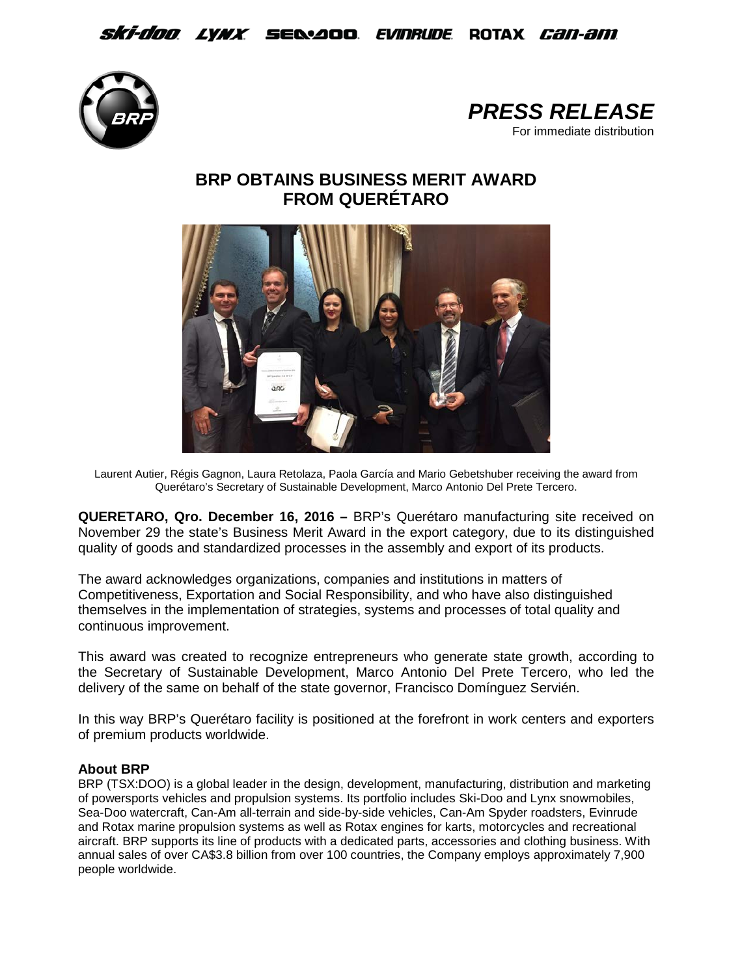## *Ski-doo lynx s*e&aoo *evinrude* rotax *can-am*





## **BRP OBTAINS BUSINESS MERIT AWARD FROM QUERÉTARO**



Laurent Autier, Régis Gagnon, Laura Retolaza, Paola García and Mario Gebetshuber receiving the award from Querétaro's Secretary of Sustainable Development, Marco Antonio Del Prete Tercero.

**QUERETARO, Qro. December 16, 2016 –** BRP's Querétaro manufacturing site received on November 29 the state's Business Merit Award in the export category, due to its distinguished quality of goods and standardized processes in the assembly and export of its products.

The award acknowledges organizations, companies and institutions in matters of Competitiveness, Exportation and Social Responsibility, and who have also distinguished themselves in the implementation of strategies, systems and processes of total quality and continuous improvement.

This award was created to recognize entrepreneurs who generate state growth, according to the Secretary of Sustainable Development, Marco Antonio Del Prete Tercero, who led the delivery of the same on behalf of the state governor, Francisco Domínguez Servién.

In this way BRP's Querétaro facility is positioned at the forefront in work centers and exporters of premium products worldwide.

## **About BRP**

BRP (TSX:DOO) is a global leader in the design, development, manufacturing, distribution and marketing of powersports vehicles and propulsion systems. Its portfolio includes Ski-Doo and Lynx snowmobiles, Sea-Doo watercraft, Can-Am all-terrain and side-by-side vehicles, Can-Am Spyder roadsters, Evinrude and Rotax marine propulsion systems as well as Rotax engines for karts, motorcycles and recreational aircraft. BRP supports its line of products with a dedicated parts, accessories and clothing business. With annual sales of over CA\$3.8 billion from over 100 countries, the Company employs approximately 7,900 people worldwide.